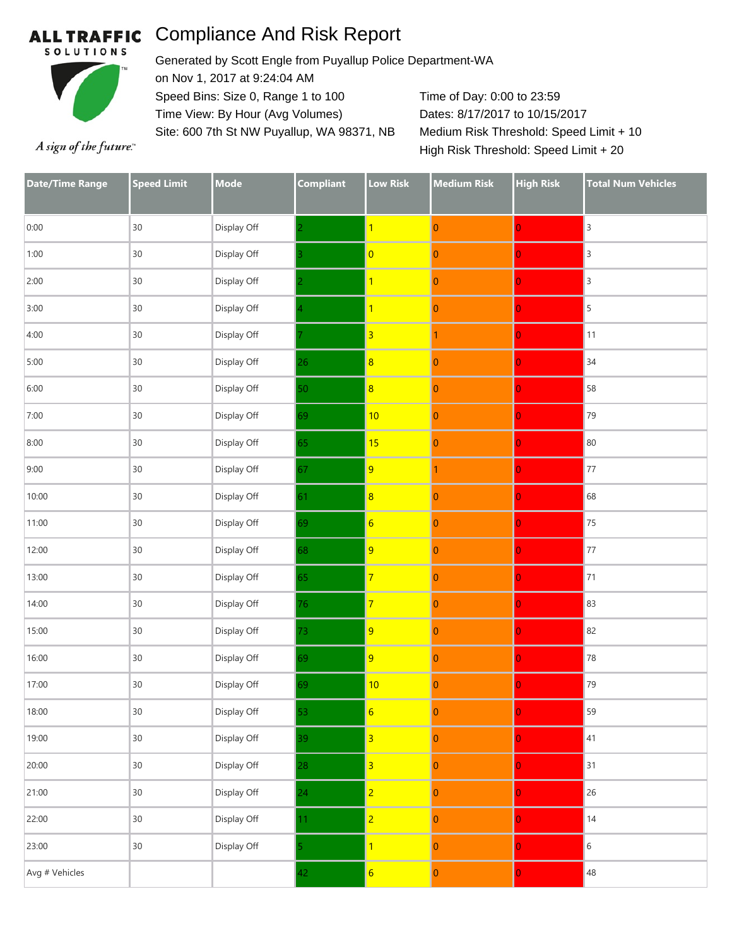## Compliance And Risk Report **ALL TRAFFIC**



Generated by Scott Engle from Puyallup Police Department-WA on Nov 1, 2017 at 9:24:04 AM Speed Bins: Size 0, Range 1 to 100 Time View: By Hour (Avg Volumes) Site: 600 7th St NW Puyallup, WA 98371, NB

Time of Day: 0:00 to 23:59 Dates: 8/17/2017 to 10/15/2017 Medium Risk Threshold: Speed Limit + 10 High Risk Threshold: Speed Limit + 20

A sign of the future."

| <b>Date/Time Range</b> | <b>Speed Limit</b> | <b>Mode</b> | <b>Compliant</b> | <b>Low Risk</b>         | <b>Medium Risk</b>      | <b>High Risk</b>        | <b>Total Num Vehicles</b> |
|------------------------|--------------------|-------------|------------------|-------------------------|-------------------------|-------------------------|---------------------------|
| 0:00                   | 30                 | Display Off |                  | $\overline{1}$          | $\pmb{0}$               | $\overline{0}$          | $\overline{3}$            |
| 1:00                   | 30                 | Display Off |                  | $\overline{\mathbf{0}}$ | $\boldsymbol{0}$        | $\overline{0}$          | $\mathsf 3$               |
| 2:00                   | $30\,$             | Display Off |                  | $\mathbf{1}$            | $\pmb{0}$               | $\overline{0}$          | $\overline{3}$            |
| 3:00                   | 30                 | Display Off |                  | $\overline{1}$          | $\pmb{0}$               | $\overline{0}$          | $\sqrt{5}$                |
| 4:00                   | $30\,$             | Display Off |                  | $\overline{3}$          | 1                       | $\overline{0}$          | $11$                      |
| 5:00                   | 30                 | Display Off | 26               | $\overline{\mathbf{8}}$ | $\boldsymbol{0}$        | $\overline{0}$          | 34                        |
| 6:00                   | $30\,$             | Display Off | 50               | $\overline{\mathbf{8}}$ | $\pmb{0}$               | $\overline{0}$          | 58                        |
| 7:00                   | $30\,$             | Display Off | 69               | 10                      | $\pmb{0}$               | $\overline{0}$          | 79                        |
| 8:00                   | $30\,$             | Display Off | 65               | 15                      | $\pmb{0}$               | $\overline{0}$          | 80                        |
| 9:00                   | $30\,$             | Display Off | 67               | 9                       | 1                       | $\overline{0}$          | 77                        |
| 10:00                  | 30                 | Display Off | 61               | 8                       | $\pmb{0}$               | $\overline{0}$          | 68                        |
| 11:00                  | 30                 | Display Off | 69               | $\overline{6}$          | $\pmb{0}$               | $\overline{0}$          | 75                        |
| 12:00                  | $30\,$             | Display Off | 68               | $\overline{9}$          | $\boldsymbol{0}$        | $\overline{0}$          | 77                        |
| 13:00                  | 30                 | Display Off | 65               | $\overline{7}$          | $\boldsymbol{0}$        | $\overline{0}$          | 71                        |
| 14:00                  | $30\,$             | Display Off | 76               | $\overline{7}$          | $\pmb{0}$               | $\overline{0}$          | 83                        |
| 15:00                  | $30\,$             | Display Off | 73               | 9                       | $\pmb{0}$               | $\overline{0}$          | 82                        |
| 16:00                  | $30\,$             | Display Off | 69               | $\overline{9}$          | $\mathbf{0}$            | $\overline{0}$          | 78                        |
| 17:00                  | $30\,$             | Display Off | 69               | 10                      | $\overline{0}$          | $\overline{0}$          | 79                        |
| 18:00                  | 30 <sup>°</sup>    | Display Off | $\mathbf{R}$     | $\overline{6}$          | $\overline{\mathbf{0}}$ |                         | 59                        |
| 19:00                  | $30\,$             | Display Off | 39               | $\overline{\mathbf{3}}$ | $\pmb{0}$               | $ 0\rangle$             | 41                        |
| 20:00                  | $30\,$             | Display Off | 28               | $\overline{\mathbf{3}}$ | $\pmb{0}$               | $\overline{0}$          | 31                        |
| 21:00                  | 30                 | Display Off | 24               | $\overline{2}$          | $\pmb{0}$               | $\overline{0}$          | 26                        |
| 22:00                  | $30\,$             | Display Off | 11               | $\overline{2}$          | $\pmb{0}$               | $\overline{0}$          | 14                        |
| 23:00                  | $30\,$             | Display Off |                  | $\overline{1}$          | $\pmb{0}$               | $\overline{0}$          | $\sqrt{6}$                |
| Avg # Vehicles         |                    |             | 42               | $\overline{6}$          | $\pmb{0}$               | $\overline{\mathbf{0}}$ | 48                        |